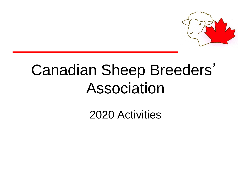

# Canadian Sheep Breeders' Association

2020 Activities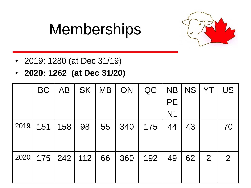# Memberships



- 2019: 1280 (at Dec 31/19)
- **2020: 1262 (at Dec 31/20)**

|      | <b>BC</b> | <b>AB</b>         |    | SK   MB   ON |     | QC  |           | NB   NS   YT |                | US             |
|------|-----------|-------------------|----|--------------|-----|-----|-----------|--------------|----------------|----------------|
|      |           |                   |    |              |     |     | <b>PE</b> |              |                |                |
|      |           |                   |    |              |     |     | <b>NL</b> |              |                |                |
| 2019 | 151       | 158               | 98 | 55           | 340 | 175 | 44        | 43           |                | 70             |
|      |           |                   |    |              |     |     |           |              |                |                |
| 2020 |           | $175$   242   112 |    | 66           | 360 | 192 | 49        | $62 \mid$    | $\overline{2}$ | $\overline{2}$ |
|      |           |                   |    |              |     |     |           |              |                |                |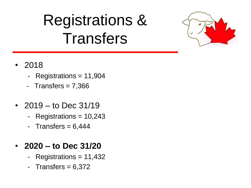# Registrations & **Transfers**



- 2018
	- Registrations = 11,904
	- Transfers  $= 7,366$
- 2019 to Dec 31/19
	- Registrations = 10,243
	- Transfers  $= 6,444$

### • **2020 – to Dec 31/20**

- Registrations = 11,432
- Transfers  $= 6,372$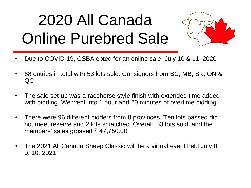# 2020 All Canada Online Purebred Sale



- Due to COVID-19, CSBA opted for an online sale, July 10 & 11, 2020
- 68 entries in total with 53 lots sold. Consignors from BC, MB, SK, ON & QC
- The sale set-up was a racehorse style finish with extended time added with bidding. We went into 1 hour and 20 minutes of overtime bidding.
- There were 96 different bidders from 8 provinces. Ten lots passed did not meet reserve and 2 lots scratched. Overall, 53 lots sold, and the members' sales grossed \$ 47,750.00
- The 2021 All Canada Sheep Classic will be a virtual event held July 8, 9, 10, 2021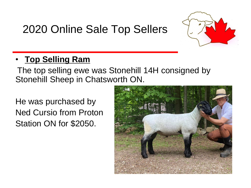### 2020 Online Sale Top Sellers



### • **Top Selling Ram**

The top selling ewe was Stonehill 14H consigned by Stonehill Sheep in Chatsworth ON.

He was purchased by Ned Cursio from Proton Station ON for \$2050.

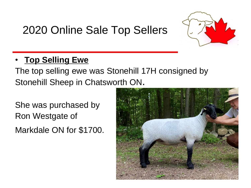### 2020 Online Sale Top Sellers



### • **Top Selling Ewe**

The top selling ewe was Stonehill 17H consigned by Stonehill Sheep in Chatsworth ON.

She was purchased by Ron Westgate of Markdale ON for \$1700.

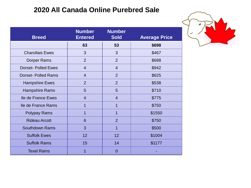#### **2020 All Canada Online Purebred Sale**

| <b>Breed</b>              | <b>Number</b><br><b>Entered</b> | <b>Number</b><br><b>Sold</b> | <b>Average Price</b> |
|---------------------------|---------------------------------|------------------------------|----------------------|
|                           | 63                              | 53                           | \$698                |
| <b>Charollais Ewes</b>    | 3                               | 3                            | \$467                |
| <b>Dorper Rams</b>        | $\overline{2}$                  | $\overline{2}$               | \$688                |
| <b>Dorset-Polled Ewes</b> | $\overline{4}$                  | $\overline{4}$               | \$942                |
| <b>Dorset-Polled Rams</b> | $\overline{4}$                  | $\overline{2}$               | \$625                |
| <b>Hampshire Ewes</b>     | $\overline{2}$                  | $\overline{2}$               | \$538                |
| <b>Hampshire Rams</b>     | 5                               | 5                            | \$710                |
| Ile de France Ewes        | $\overline{4}$                  | $\overline{4}$               | \$775                |
| Ile de France Rams        | 1                               | 1                            | \$750                |
| Polypay Rams              | 1                               | 1                            | \$1550               |
| <b>Rideau Arcott</b>      | 6                               | $\overline{2}$               | \$750                |
| <b>Southdown Rams</b>     | 3                               | 1                            | \$500                |
| <b>Suffolk Ewes</b>       | 12                              | 12                           | \$1004               |
| <b>Suffolk Rams</b>       | 15                              | 14                           | \$1177               |
| <b>Texel Rams</b>         | 1                               | $\overline{0}$               |                      |

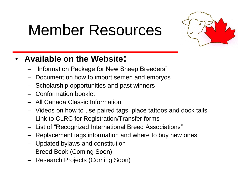# Member Resources



### • **Available on the Website:**

- "Information Package for New Sheep Breeders"
- Document on how to import semen and embryos
- Scholarship opportunities and past winners
- Conformation booklet
- All Canada Classic Information
- Videos on how to use paired tags, place tattoos and dock tails
- Link to CLRC for Registration/Transfer forms
- List of "Recognized International Breed Associations"
- Replacement tags information and where to buy new ones
- Updated bylaws and constitution
- Breed Book (Coming Soon)
- Research Projects (Coming Soon)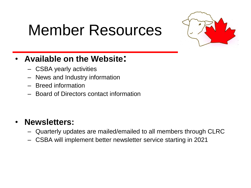## Member Resources



### • **Available on the Website:**

- CSBA yearly activities
- News and Industry information
- Breed information
- Board of Directors contact information

### • **Newsletters:**

- Quarterly updates are mailed/emailed to all members through CLRC
- CSBA will implement better newsletter service starting in 2021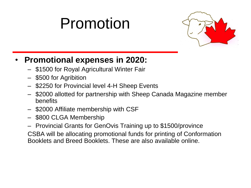# Promotion



### • **Promotional expenses in 2020:**

- \$1500 for Royal Agricultural Winter Fair
- \$500 for Agribition
- \$2250 for Provincial level 4-H Sheep Events
- \$2000 allotted for partnership with Sheep Canada Magazine member benefits
- \$2000 Affiliate membership with CSF
- \$800 CLGA Membership
- Provincial Grants for GenOvis Training up to \$1500/province

CSBA will be allocating promotional funds for printing of Conformation Booklets and Breed Booklets. These are also available online.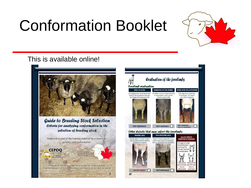# Conformation Booklet



#### This is available online!



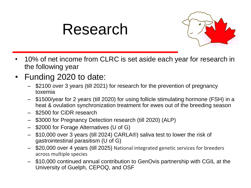## Research



- 10% of net income from CLRC is set aside each year for research in the following year
- Funding 2020 to date:
	- \$2100 over 3 years (till 2021) for research for the prevention of pregnancy toxemia
	- \$1500/year for 2 years (till 2020) for using follicle stimulating hormone (FSH) in a heat & ovulation synchronization treatment for ewes out of the breeding season
	- \$2500 for CiDR research
	- \$3000 for Pregnancy Detection research (till 2020) (ALP)
	- \$2000 for Forage Alternatives (U of G)
	- \$10,000 over 3 years (till 2024) CARLA®) saliva test to lower the risk of gastrointestinal parasitism (U of G)
	- \$20,000 over 4 years (till 2025) National integrated genetic services for breeders across multiple species
	- \$10,000 continued annual contribution to GenOvis partnership with CGIL at the University of Guelph, CEPOQ, and OSF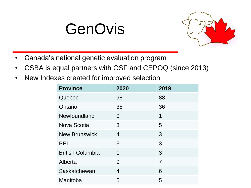## GenOvis



- Canada's national genetic evaluation program
- CSBA is equal partners with OSF and CEPOQ (since 2013)
- New Indexes created for improved selection

| <b>Province</b>         | 2020           | 2019           |
|-------------------------|----------------|----------------|
| Quebec                  | 98             | 88             |
| Ontario                 | 38             | 36             |
| Newfoundland            | $\Omega$       | 1              |
| Nova Scotia             | 3              | 5              |
| <b>New Brunswick</b>    | $\overline{4}$ | 3              |
| <b>PEI</b>              | 3              | 3              |
| <b>British Columbia</b> | 1              | 3              |
| Alberta                 | 9              | $\overline{7}$ |
| Saskatchewan            | 4              | 6              |
| Manitoba                | 5              | 5              |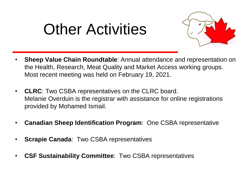# Other Activities



- **Sheep Value Chain Roundtable**: Annual attendance and representation on the Health, Research, Meat Quality and Market Access working groups. Most recent meeting was held on February 19, 2021.
- **CLRC**: Two CSBA representatives on the CLRC board. Melanie Overduin is the registrar with assistance for online registrations provided by Mohamed Ismail.
- **Canadian Sheep Identification Program**: One CSBA representative
- **Scrapie Canada**: Two CSBA representatives
- **CSF Sustainability Committee**: Two CSBA representatives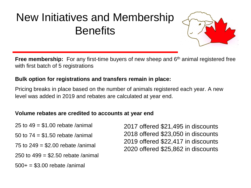

**Free membership:** For any first-time buyers of new sheep and 6<sup>th</sup> animal registered free with first batch of 5 registrations

#### **Bulk option for registrations and transfers remain in place:**

Pricing breaks in place based on the number of animals registered each year. A new level was added in 2019 and rebates are calculated at year end.

#### **Volume rebates are credited to accounts at year end**

- 25 to  $49 = $1.00$  rebate /animal
- 50 to 74 = \$1.50 rebate /animal
- 75 to  $249 = $2.00$  rebate /animal
- 250 to 499 = \$2.50 rebate /animal
- $500+ = $3.00$  rebate /animal

2017 offered \$21,495 in discounts 2018 offered \$23,050 in discounts 2019 offered \$22,417 in discounts 2020 offered \$25,862 in discounts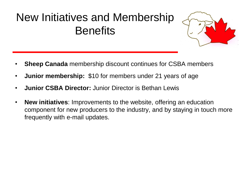

- **Sheep Canada** membership discount continues for CSBA members
- **Junior membership:** \$10 for members under 21 years of age
- **Junior CSBA Director:** Junior Director is Bethan Lewis
- **New initiatives**: Improvements to the website, offering an education component for new producers to the industry, and by staying in touch more frequently with e-mail updates.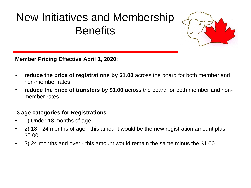

**Member Pricing Effective April 1, 2020:**

- **reduce the price of registrations by \$1.00** across the board for both member and non-member rates
- **reduce the price of transfers by \$1.00** across the board for both member and nonmember rates

#### **3 age categories for Registrations**

- 1) Under 18 months of age
- 2) 18 24 months of age this amount would be the new registration amount plus \$5.00
- 3) 24 months and over this amount would remain the same minus the \$1.00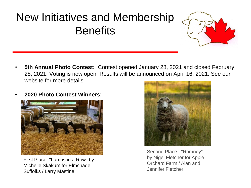

- **5th Annual Photo Contest:** Contest opened January 28, 2021 and closed February 28, 2021. Voting is now open. Results will be announced on April 16, 2021. See our website for more details.
- **2020 Photo Contest Winners**:



First Place: "Lambs in a Row" by Michelle Skakum for Elmshade Suffolks / Larry Mastine



Second Place : "Romney" by Nigel Fletcher for Apple Orchard Farm / Alan and Jennifer Fletcher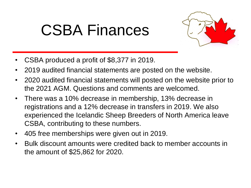# CSBA Finances



- CSBA produced a profit of \$8,377 in 2019.
- 2019 audited financial statements are posted on the website.
- 2020 audited financial statements will posted on the website prior to the 2021 AGM. Questions and comments are welcomed.
- There was a 10% decrease in membership, 13% decrease in registrations and a 12% decrease in transfers in 2019. We also experienced the Icelandic Sheep Breeders of North America leave CSBA, contributing to these numbers.
- 405 free memberships were given out in 2019.
- Bulk discount amounts were credited back to member accounts in the amount of \$25,862 for 2020.